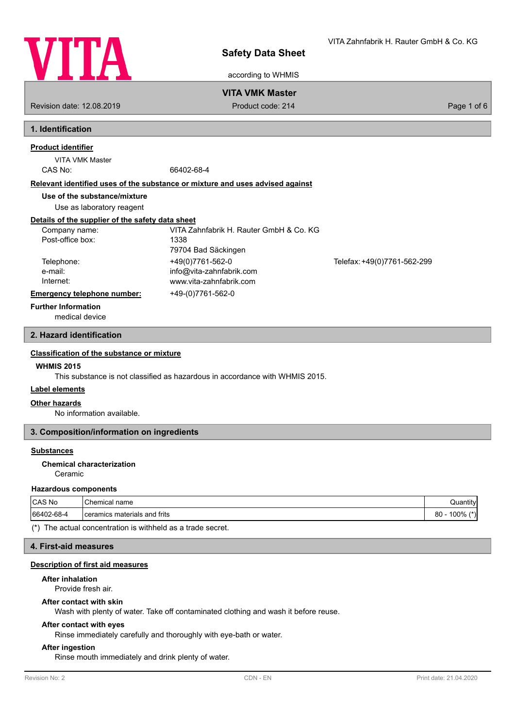

according to WHMIS

## **VITA VMK Master**

Revision date: 12.08.2019 **Product code: 214** Product code: 214 **Page 1 of 6** Page 1 of 6

# **1. Identification**

# **Product identifier**

VITA VMK Master

CAS No: 66402-68-4

#### **Relevant identified uses of the substance or mixture and uses advised against**

**Use of the substance/mixture**

Use as laboratory reagent

# **Details of the supplier of the safety data sheet**

| Company name:               | VITA Zahnfabrik H. Rauter GmbH & Co. KG |                             |
|-----------------------------|-----------------------------------------|-----------------------------|
| Post-office box:            | 1338                                    |                             |
|                             | 79704 Bad Säckingen                     |                             |
| Telephone:                  | +49(0)7761-562-0                        | Telefax: +49(0)7761-562-299 |
| e-mail:                     | info@vita-zahnfabrik.com                |                             |
| Internet:                   | www.vita-zahnfabrik.com                 |                             |
| Emergency telephone number: | +49-(0)7761-562-0                       |                             |

### **Further Information**

medical device

### **2. Hazard identification**

#### **Classification of the substance or mixture**

### **WHMIS 2015**

This substance is not classified as hazardous in accordance with WHMIS 2015.

### **Label elements**

### **Other hazards**

No information available.

## **3. Composition/information on ingredients**

### **Substances**

Ceramic **Chemical characterization**

#### **Hazardous components**

| CAS No     | $\sim$<br>name<br>Chemical *      | $\cdots$<br>Quantity  |
|------------|-----------------------------------|-----------------------|
| 66402-68-4 | materials and frits<br>I ceramics | 80<br>$4*$<br>$100\%$ |

(\*) The actual concentration is withheld as a trade secret.

#### **4. First-aid measures**

### **Description of first aid measures**

### **After inhalation**

Provide fresh air.

#### **After contact with skin**

Wash with plenty of water. Take off contaminated clothing and wash it before reuse.

#### **After contact with eyes**

Rinse immediately carefully and thoroughly with eye-bath or water.

#### **After ingestion**

Rinse mouth immediately and drink plenty of water.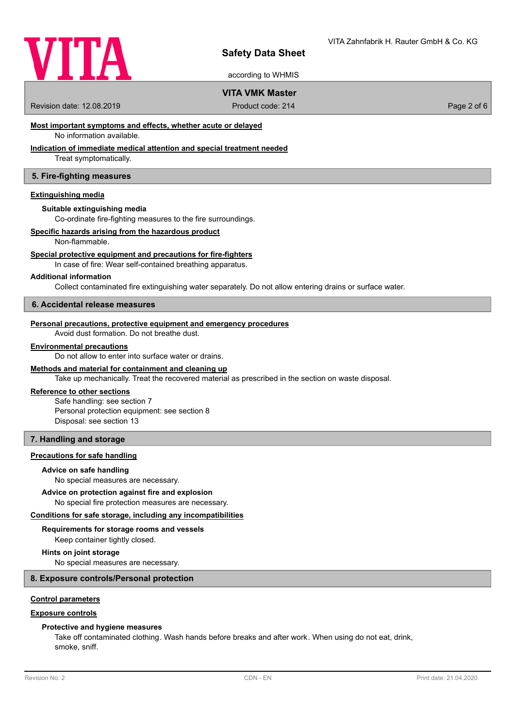

according to WHMIS

# **VITA VMK Master**

Revision date: 12.08.2019 **Product code: 214** Product code: 214 **Page 2 of 6** Page 2 of 6

# **Most important symptoms and effects, whether acute or delayed**

No information available.

# **Indication of immediate medical attention and special treatment needed**

Treat symptomatically.

## **5. Fire-fighting measures**

### **Extinguishing media**

#### **Suitable extinguishing media**

Co-ordinate fire-fighting measures to the fire surroundings.

### **Specific hazards arising from the hazardous product**

Non-flammable.

#### **Special protective equipment and precautions for fire-fighters**

In case of fire: Wear self-contained breathing apparatus.

#### **Additional information**

Collect contaminated fire extinguishing water separately. Do not allow entering drains or surface water.

#### **6. Accidental release measures**

### **Personal precautions, protective equipment and emergency procedures**

Avoid dust formation. Do not breathe dust.

#### **Environmental precautions**

Do not allow to enter into surface water or drains.

### **Methods and material for containment and cleaning up**

Take up mechanically. Treat the recovered material as prescribed in the section on waste disposal.

### **Reference to other sections**

Safe handling: see section 7 Personal protection equipment: see section 8 Disposal: see section 13

### **7. Handling and storage**

### **Precautions for safe handling**

#### **Advice on safe handling**

No special measures are necessary.

### **Advice on protection against fire and explosion**

No special fire protection measures are necessary.

#### **Conditions for safe storage, including any incompatibilities**

## **Requirements for storage rooms and vessels**

Keep container tightly closed.

## **Hints on joint storage**

No special measures are necessary.

# **8. Exposure controls/Personal protection**

# **Control parameters**

## **Exposure controls**

## **Protective and hygiene measures**

Take off contaminated clothing. Wash hands before breaks and after work. When using do not eat, drink, smoke, sniff.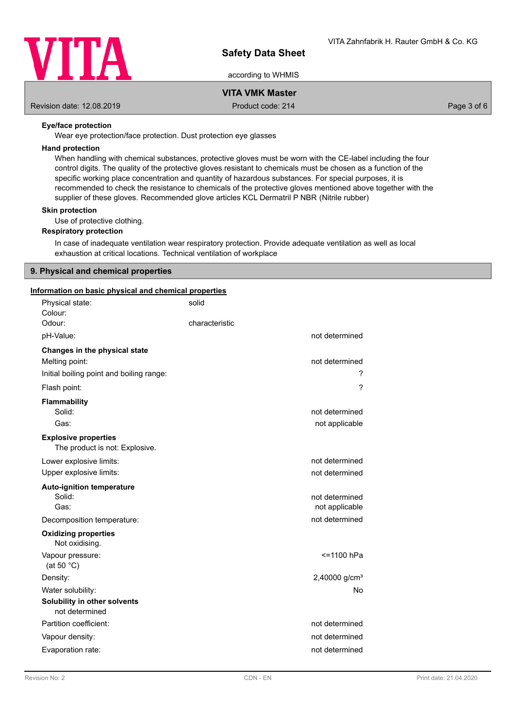

according to WHMIS

# **VITA VMK Master**

Revision date: 12.08.2019 Product code: 214 Page 3 of 6

## **Eye/face protection**

Wear eye protection/face protection. Dust protection eye glasses

### **Hand protection**

When handling with chemical substances, protective gloves must be worn with the CE-label including the four control digits. The quality of the protective gloves resistant to chemicals must be chosen as a function of the specific working place concentration and quantity of hazardous substances. For special purposes, it is recommended to check the resistance to chemicals of the protective gloves mentioned above together with the supplier of these gloves. Recommended glove articles KCL Dermatril P NBR (Nitrile rubber)

#### **Skin protection**

Use of protective clothing.

### **Respiratory protection**

In case of inadequate ventilation wear respiratory protection. Provide adequate ventilation as well as local exhaustion at critical locations. Technical ventilation of workplace

# **9. Physical and chemical properties**

## **Information on basic physical and chemical properties**

| Physical state:<br>Colour:                                                                  | solid          |                                  |
|---------------------------------------------------------------------------------------------|----------------|----------------------------------|
| Odour:                                                                                      | characteristic |                                  |
| pH-Value:                                                                                   |                | not determined                   |
| Changes in the physical state<br>Melting point:<br>Initial boiling point and boiling range: |                | not determined<br>?              |
| Flash point:                                                                                |                | ?                                |
| <b>Flammability</b><br>Solid:<br>Gas:                                                       |                | not determined<br>not applicable |
| <b>Explosive properties</b><br>The product is not: Explosive.                               |                |                                  |
| Lower explosive limits:                                                                     |                | not determined                   |
| Upper explosive limits:                                                                     |                | not determined                   |
| <b>Auto-ignition temperature</b><br>Solid:<br>Gas:                                          |                | not determined<br>not applicable |
| Decomposition temperature:                                                                  |                | not determined                   |
| <b>Oxidizing properties</b><br>Not oxidising.                                               |                |                                  |
| Vapour pressure:<br>(at 50 $°C$ )                                                           |                | <=1100 hPa                       |
| Density:                                                                                    |                | 2,40000 $g/cm3$                  |
| Water solubility:                                                                           |                | No                               |
| Solubility in other solvents<br>not determined                                              |                |                                  |
| Partition coefficient:                                                                      |                | not determined                   |
| Vapour density:                                                                             |                | not determined                   |
| Evaporation rate:                                                                           |                | not determined                   |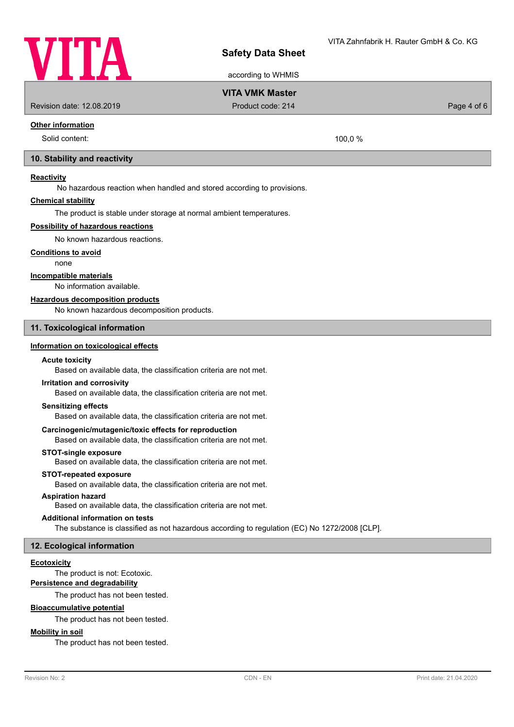

according to WHMIS

# **VITA VMK Master**

Revision date: 12.08.2019 **Product code: 214** Product code: 214 **Page 4 of 6** Page 4 of 6

## **Other information**

Solid content: 100.0 %

### **10. Stability and reactivity**

### **Reactivity**

No hazardous reaction when handled and stored according to provisions.

### **Chemical stability**

The product is stable under storage at normal ambient temperatures.

### **Possibility of hazardous reactions**

No known hazardous reactions.

#### **Conditions to avoid**

none

### **Incompatible materials**

No information available.

### **Hazardous decomposition products**

No known hazardous decomposition products.

### **11. Toxicological information**

### **Information on toxicological effects**

#### **Acute toxicity**

Based on available data, the classification criteria are not met.

### **Irritation and corrosivity**

Based on available data, the classification criteria are not met.

### **Sensitizing effects**

Based on available data, the classification criteria are not met.

# **Carcinogenic/mutagenic/toxic effects for reproduction**

Based on available data, the classification criteria are not met.

## **STOT-single exposure**

Based on available data, the classification criteria are not met.

#### **STOT-repeated exposure**

Based on available data, the classification criteria are not met.

# **Aspiration hazard**

Based on available data, the classification criteria are not met.

#### **Additional information on tests**

The substance is classified as not hazardous according to regulation (EC) No 1272/2008 [CLP].

### **12. Ecological information**

## **Ecotoxicity**

The product is not: Ecotoxic.

# **Persistence and degradability**

The product has not been tested.

### **Bioaccumulative potential**

The product has not been tested.

# **Mobility in soil**

The product has not been tested.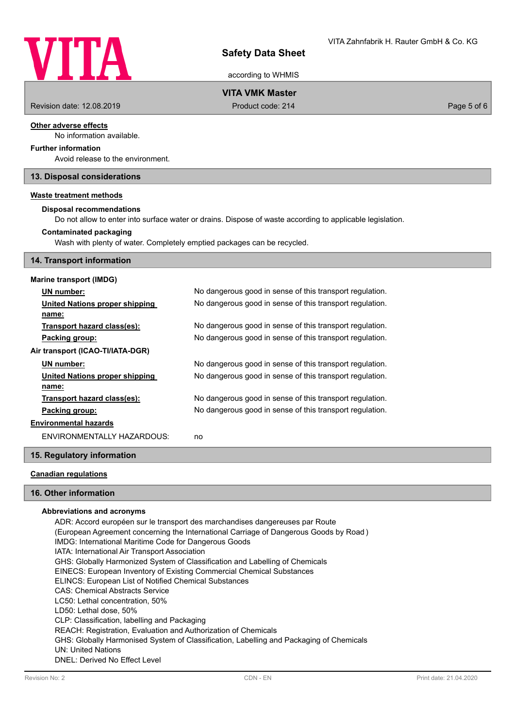

according to WHMIS

# **VITA VMK Master**

Revision date: 12.08.2019 Product code: 214 Page 5 of 6

### **Other adverse effects**

No information available.

# **Further information**

Avoid release to the environment.

## **13. Disposal considerations**

### **Waste treatment methods**

#### **Disposal recommendations**

Do not allow to enter into surface water or drains. Dispose of waste according to applicable legislation.

### **Contaminated packaging**

Wash with plenty of water. Completely emptied packages can be recycled.

### **14. Transport information**

## **Marine transport (IMDG)**

| UN number:                       | No dangerous good in sense of this transport regulation. |
|----------------------------------|----------------------------------------------------------|
| United Nations proper shipping   | No dangerous good in sense of this transport regulation. |
| name:                            |                                                          |
| Transport hazard class(es):      | No dangerous good in sense of this transport regulation. |
| Packing group:                   | No dangerous good in sense of this transport regulation. |
| Air transport (ICAO-TI/IATA-DGR) |                                                          |
| UN number:                       | No dangerous good in sense of this transport regulation. |
| United Nations proper shipping   | No dangerous good in sense of this transport regulation. |
| name:                            |                                                          |
| Transport hazard class(es):      | No dangerous good in sense of this transport regulation. |
| Packing group:                   | No dangerous good in sense of this transport regulation. |
| <b>Environmental hazards</b>     |                                                          |
| ENVIRONMENTALLY HAZARDOUS:       | no                                                       |

### **15. Regulatory information**

# **Canadian regulations**

### **16. Other information**

#### **Abbreviations and acronyms**

ADR: Accord européen sur le transport des marchandises dangereuses par Route (European Agreement concerning the International Carriage of Dangerous Goods by Road ) IMDG: International Maritime Code for Dangerous Goods IATA: International Air Transport Association GHS: Globally Harmonized System of Classification and Labelling of Chemicals EINECS: European Inventory of Existing Commercial Chemical Substances ELINCS: European List of Notified Chemical Substances CAS: Chemical Abstracts Service LC50: Lethal concentration, 50% LD50: Lethal dose, 50% CLP: Classification, labelling and Packaging REACH: Registration, Evaluation and Authorization of Chemicals GHS: Globally Harmonised System of Classification, Labelling and Packaging of Chemicals UN: United Nations DNEL: Derived No Effect Level